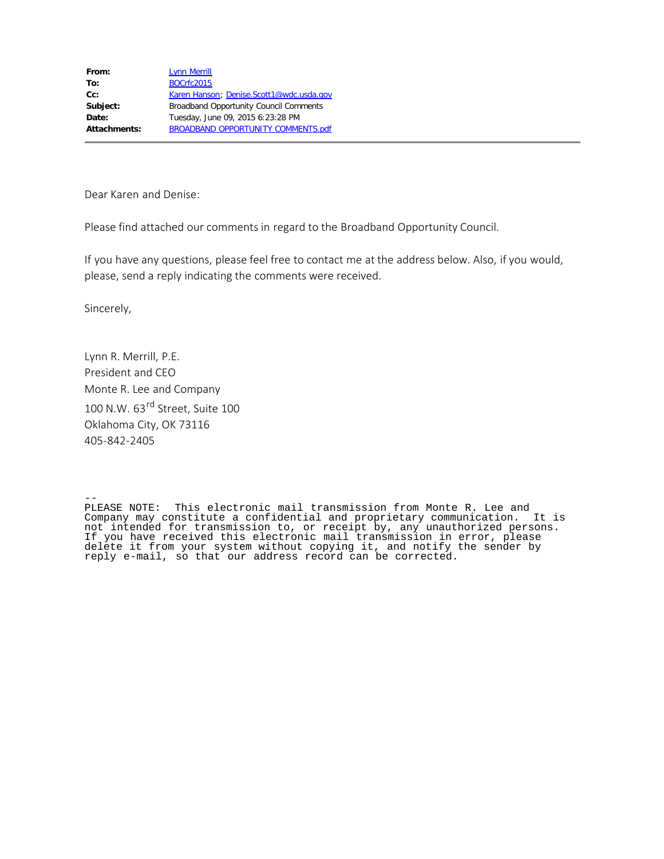**From:** [Lynn Merrill](mailto:lmerrill@mrleng.com) **To:** [BOCrfc2015](mailto:BOCrfc2015@ntia.doc.gov) Cc: [Karen Hanson](mailto:KHanson@ntia.doc.gov); [Denise.Scott1@wdc.usda.gov](mailto:Denise.Scott1@wdc.usda.gov) **Subject:** Broadband Opportunity Council Comments **Date:** Tuesday, June 09, 2015 6:23:28 PM **Attachments:** BROADBAND OPPORTUNITY COMMENTS.pdf

Dear Karen and Denise:

Please find attached our comments in regard to the Broadband Opportunity Council.

If you have any questions, please feel free to contact me at the address below. Also, if you would, please, send a reply indicating the comments were received.

Sincerely,

Lynn R. Merrill, P.E. President and CEO Monte R. Lee and Company 100 N.W. 63<sup>rd</sup> Street, Suite 100 Oklahoma City, OK 73116 405-842-2405

-- PLEASE NOTE: This electronic mail transmission from Monte R. Lee and Company may constitute a confidential and proprietary communication. It is not intended for transmission to, or receipt by, any unauthorized persons. If you have received this electronic mail transmission in error, please delete it from your system without copying it, and notify the sender by reply e-mail, so that our address record can be corrected.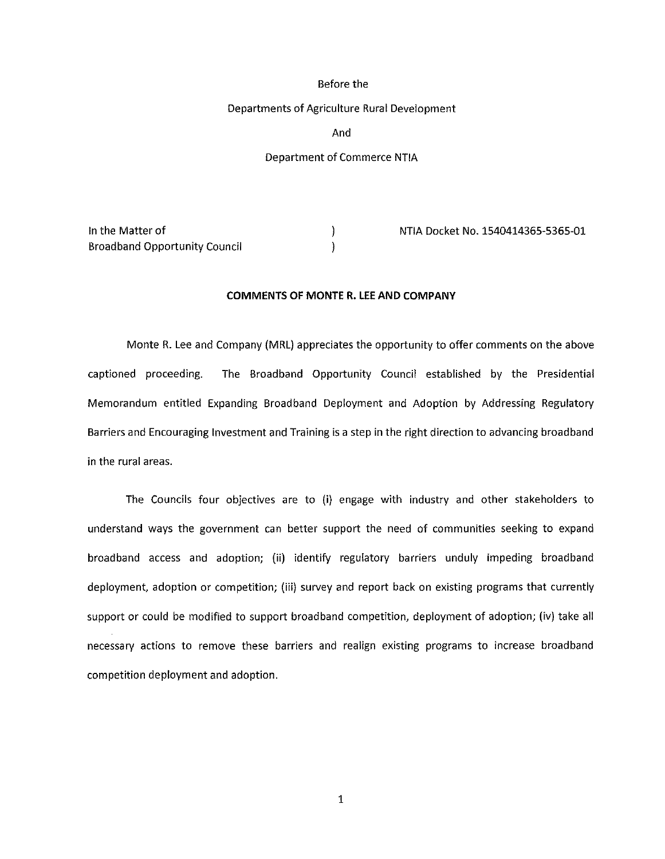### Before the

#### Departments of Agriculture Rural Development

And

# Department of Commerce NTIA

Broadband Opportunity Council

In the Matter of NTIA Docket No. 1540414365-5365-01

## **COMMENTS OF MONTER. LEE AND COMPANY**

 $\mathcal{E}$ 

Monte R. Lee and Company (MRL) appreciates the opportunity to offer comments on the above captioned proceeding. The Broadband Opportunity Council established by the Presidential Memorandum entitled Expanding Broadband Deployment and Adoption by Addressing Regulatory Barriers and Encouraging Investment and Training is a step in the right direction to advancing broadband in the rural areas.

The Councils four objectives are to (i) engage with industry and other stakeholders to understand ways the government can better support the need of communities seeking to expand broadband access and adoption; (ii) identify regulatory barriers unduly impeding broadband deployment, adoption or competition; (iii) survey and report back on existing programs that currently support or could be modified to support broadband competition, deployment of adoption; (iv) take all necessary actions to remove these barriers and realign existing programs to increase broadband competition deployment and adoption.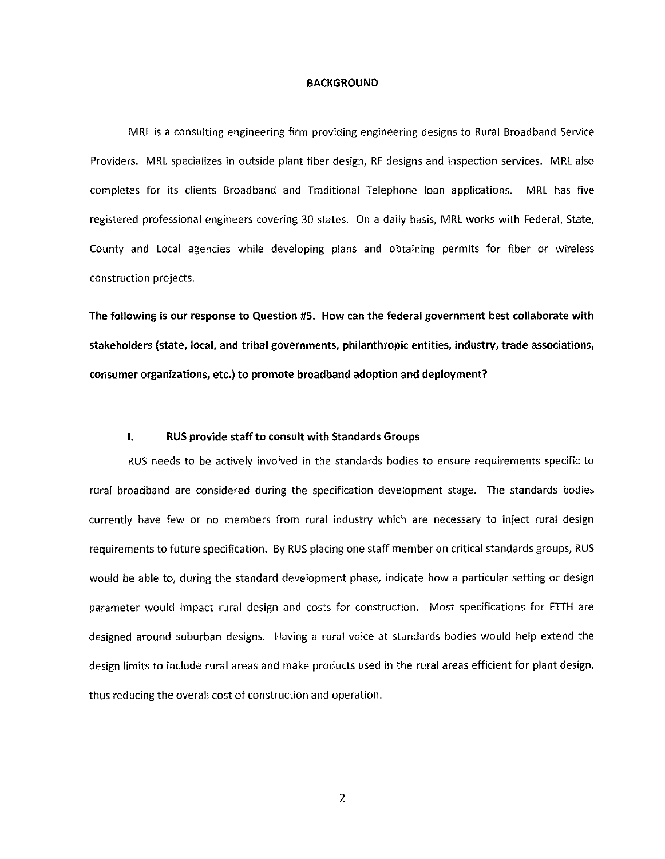#### **BACKGROUND**

MRL is a consulting engineering firm providing engineering designs to Rural Broadband Service Providers. MRL specializes in outside plant fiber design, RF designs and inspection services. MRL also completes for its clients Broadband and Traditional Telephone loan applications. MRL has five registered professional engineers covering 30 states. On a daily basis, MRL works with Federal, State, County and Local agencies while developing plans and obtaining permits for fiber or wireless construction projects.

**The following is our response to Question #5. How can the federal government best collaborate with stakeholders (state, local, and tribal governments, philanthropic entities, industry, trade associations, consumer organizations, etc.) to promote broadband adoption and deployment?** 

# **I. RUS provide staff to consult with Standards Groups**

RUS needs to be actively involved in the standards bodies to ensure requirements specific to rural broadband are considered during the specification development stage. The standards bodies currently have few or no members from rural industry which are necessary to inject rural design requirements to future specification. By RUS placing one staff member on critical standards groups, RUS would be able to, during the standard development phase, indicate how a particular setting or design parameter would impact rural design and costs for construction. Most specifications for FTTH are designed around suburban designs. Having a rural voice at standards bodies would help extend the design limits to include rural areas and make products used in the rural areas efficient for plant design, thus reducing the overall cost of construction and operation.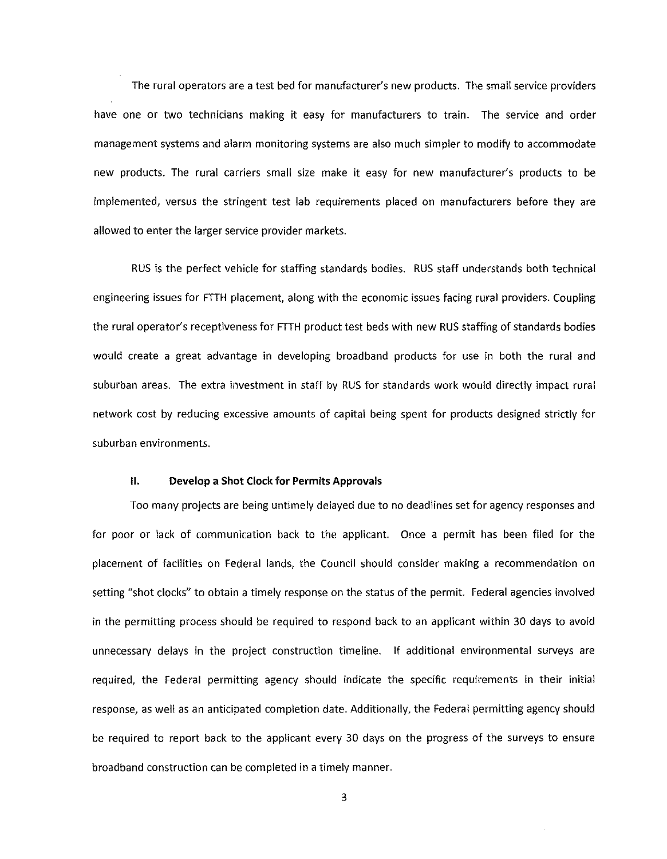The rural operators are a test bed for manufacturer's new products. The small service providers have one or two technicians making it easy for manufacturers to train. The service and order management systems and alarm monitoring systems are also much simpler to modify to accommodate new products. The rural carriers small size make it easy for new manufacturer's products to be implemented, versus the stringent test lab requirements placed on manufacturers before they are allowed to enter the larger service provider markets.

RUS is the perfect vehicle for staffing standards bodies. RUS staff understands both technical engineering issues for FTTH placement, along with the economic issues facing rural providers. Coupling the rural operator's receptiveness for FTTH product test beds with new RUS staffing of standards bodies would create a great advantage in developing broadband products for use in both the rural and suburban areas. The extra investment in staff by RUS for standards work would directly impact rural network cost by reducing excessive amounts of capital being spent for products designed strictly for suburban environments.

### **11. Develop a Shot Clock for Permits Approvals**

Too many projects are being untimely delayed due to no deadlines set for agency responses and for poor or lack of communication back to the applicant. Once a permit has been filed for the placement of facilities on Federal lands, the Council should consider making a recommendation on setting "shot clocks" to obtain a timely response on the status of the permit. Federal agencies involved in the permitting process should be required to respond back to an applicant within 30 days to avoid unnecessary delays in the project construction timeline. If additional environmental surveys are required, the Federal permitting agency should indicate the specific requirements in their initial response, as well as an anticipated completion date. Additionally, the Federal permitting agency should be required to report back to the applicant every 30 days on the progress of the surveys to ensure broadband construction can be completed in a timely manner.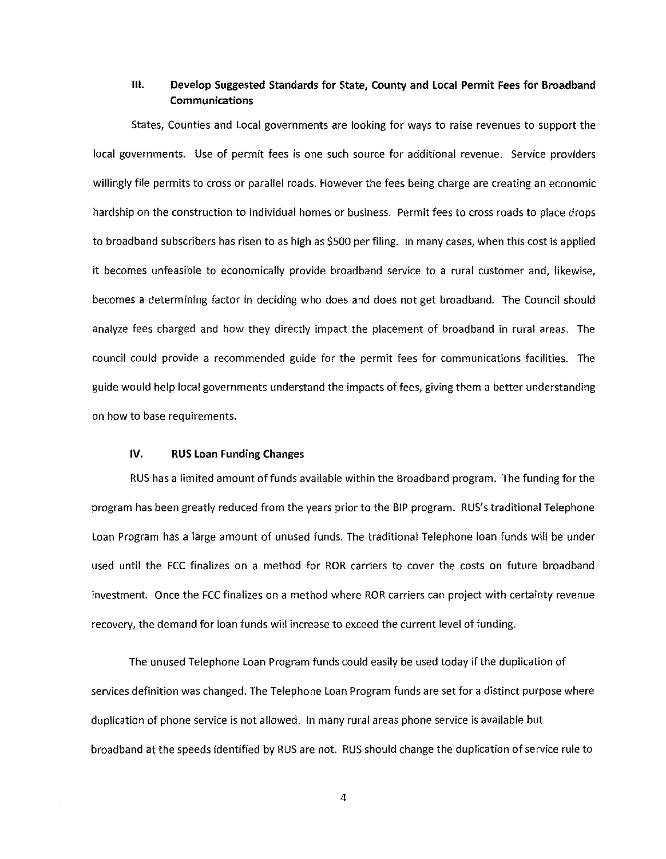# **Ill. Develop Suggested Standards for State, County and Local Permit Fees for Broadband Communications**

States, Counties and Local governments are looking for ways to raise revenues to support the local governments. Use of permit fees is one such source for additional revenue. Service providers willingly file permits to cross or parallel roads. However the fees being charge are creating an economic hardship on the construction to individual homes or business. Permit fees to cross roads to place drops to broadband subscribers has risen to as high as \$500 per filing. In many cases, when this cost is applied it becomes unfeasible to economically provide broadband service to a rural customer and, likewise, becomes a determining factor in deciding who does and does not get broadband. The Council should analyze fees charged and how they directly impact the placement of broadband in rural areas. The council could provide a recommended guide for the permit fees for communications facilities. The guide would help local governments understand the impacts of fees, giving them a better understanding on how to base requirements.

# **IV. RUS Loan Funding Changes**

RUS has a limited amount of funds available within the Broadband program. The funding for the program has been greatly reduced from the years prior to the BIP program. RUS's traditional Telephone Loan Program has a large amount of unused funds. The traditional Telephone loan funds will be under used until the FCC finalizes on a method for ROR carriers to cover the costs on future broadband investment. Once the FCC finalizes on a method where ROR carriers can project with certainty revenue recovery, the demand for loan funds will increase to exceed the current level of funding.

The unused Telephone Loan Program funds could easily be used today if the duplication of services definition was changed. The Telephone Loan Program funds are set for a distinct purpose where duplication of phone service is not allowed. In many rural areas phone service is available but broadband at the speeds identified by RUS are not. RUS should change the duplication of service rule to